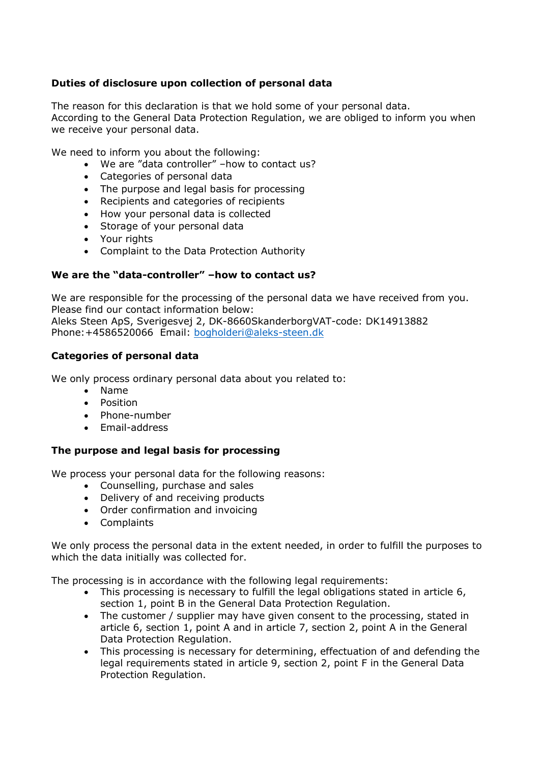# **Duties of disclosure upon collection of personal data**

The reason for this declaration is that we hold some of your personal data. According to the General Data Protection Regulation, we are obliged to inform you when we receive your personal data.

We need to inform you about the following:

- We are "data controller" –how to contact us?
- Categories of personal data
- The purpose and legal basis for processing
- Recipients and categories of recipients
- How your personal data is collected
- Storage of your personal data
- Your rights
- Complaint to the Data Protection Authority

## **We are the "data-controller" –how to contact us?**

We are responsible for the processing of the personal data we have received from you. Please find our contact information below: Aleks Steen ApS, Sverigesvej 2, DK-8660SkanderborgVAT-code: DK14913882 Phone:+4586520066 Email: [bogholderi@aleks-steen.dk](mailto:bogholderi@aleks-steen.dk)

## **Categories of personal data**

We only process ordinary personal data about you related to:

- Name
- Position
- Phone-number
- Email-address

### **The purpose and legal basis for processing**

We process your personal data for the following reasons:

- Counselling, purchase and sales
- Delivery of and receiving products
- Order confirmation and invoicing
- Complaints

We only process the personal data in the extent needed, in order to fulfill the purposes to which the data initially was collected for.

The processing is in accordance with the following legal requirements:

- This processing is necessary to fulfill the legal obligations stated in article 6, section 1, point B in the General Data Protection Regulation.
- The customer / supplier may have given consent to the processing, stated in article 6, section 1, point A and in article 7, section 2, point A in the General Data Protection Regulation.
- This processing is necessary for determining, effectuation of and defending the legal requirements stated in article 9, section 2, point F in the General Data Protection Regulation.